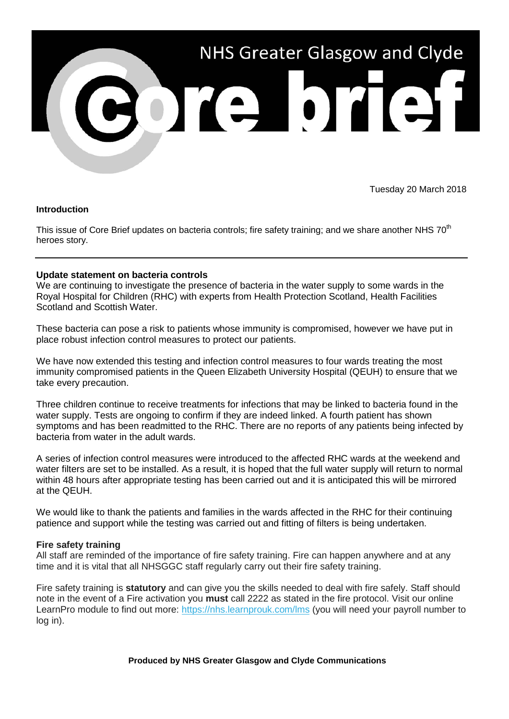

Tuesday 20 March 2018

## **Introduction**

This issue of Core Brief updates on bacteria controls; fire safety training; and we share another NHS 70<sup>th</sup> heroes story.

## **Update statement on bacteria controls**

We are continuing to investigate the presence of bacteria in the water supply to some wards in the Royal Hospital for Children (RHC) with experts from Health Protection Scotland, Health Facilities Scotland and Scottish Water.

These bacteria can pose a risk to patients whose immunity is compromised, however we have put in place robust infection control measures to protect our patients.

We have now extended this testing and infection control measures to four wards treating the most immunity compromised patients in the Queen Elizabeth University Hospital (QEUH) to ensure that we take every precaution.

Three children continue to receive treatments for infections that may be linked to bacteria found in the water supply. Tests are ongoing to confirm if they are indeed linked. A fourth patient has shown symptoms and has been readmitted to the RHC. There are no reports of any patients being infected by bacteria from water in the adult wards.

A series of infection control measures were introduced to the affected RHC wards at the weekend and water filters are set to be installed. As a result, it is hoped that the full water supply will return to normal within 48 hours after appropriate testing has been carried out and it is anticipated this will be mirrored at the QEUH.

We would like to thank the patients and families in the wards affected in the RHC for their continuing patience and support while the testing was carried out and fitting of filters is being undertaken.

## **Fire safety training**

All staff are reminded of the importance of fire safety training. Fire can happen anywhere and at any time and it is vital that all NHSGGC staff regularly carry out their fire safety training.

Fire safety training is **statutory** and can give you the skills needed to deal with fire safely. Staff should note in the event of a Fire activation you **must** call 2222 as stated in the fire protocol. Visit our online LearnPro module to find out more: [https://nhs.learnprouk.com/lms](http://nhsggc.us12.list-manage2.com/track/click?u=0f385b5aea37eaf0213bd19fb&id=1865cb7333&e=5af5e1832c) (you will need your payroll number to log in).